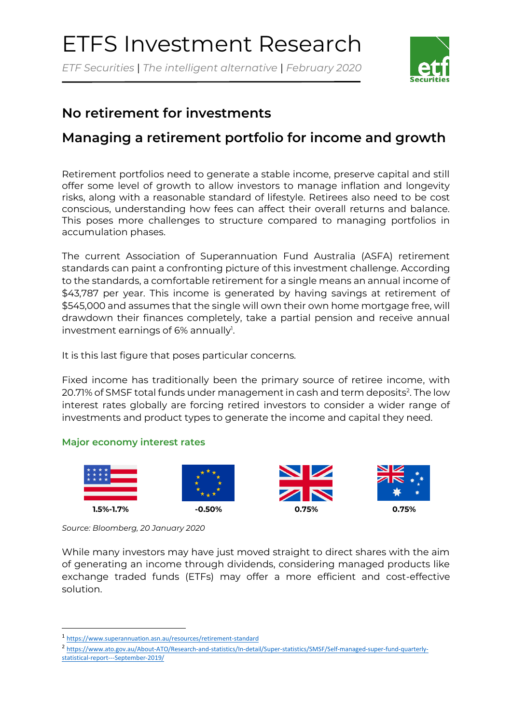# ETFS Investment Research

*ETF Securities* | *The intelligent alternative* | *February 2020*



## **No retirement for investments**

# **Managing a retirement portfolio for income and growth**

Retirement portfolios need to generate a stable income, preserve capital and still offer some level of growth to allow investors to manage inflation and longevity risks, along with a reasonable standard of lifestyle. Retirees also need to be cost conscious, understanding how fees can affect their overall returns and balance. This poses more challenges to structure compared to managing portfolios in accumulation phases.

The current Association of Superannuation Fund Australia (ASFA) retirement standards can paint a confronting picture of this investment challenge. According to the standards, a comfortable retirement for a single means an annual income of \$43,787 per year. This income is generated by having savings at retirement of \$545,000 and assumes that the single will own their own home mortgage free, will drawdown their finances completely, take a partial pension and receive annual investment earnings of 6% annually<sup>1</sup>.

It is this last figure that poses particular concerns.

Fixed income has traditionally been the primary source of retiree income, with 20.71% of SMSF total funds under management in cash and term deposits<sup>2</sup>. The low interest rates globally are forcing retired investors to consider a wider range of investments and product types to generate the income and capital they need.

### **Major economy interest rates**



*Source: Bloomberg, 20 January 2020*

While many investors may have just moved straight to direct shares with the aim of generating an income through dividends, considering managed products like exchange traded funds (ETFs) may offer a more efficient and cost-effective solution.

2 [https://www.ato.gov.au/About-ATO/Research-and-statistics/In-detail/Super-statistics/SMSF/Self-managed-super-fund-quarterly](https://www.ato.gov.au/About-ATO/Research-and-statistics/In-detail/Super-statistics/SMSF/Self-managed-super-fund-quarterly-%20statistical-report---September-2019/)[statistical-report---September-2019/](https://www.ato.gov.au/About-ATO/Research-and-statistics/In-detail/Super-statistics/SMSF/Self-managed-super-fund-quarterly-%20statistical-report---September-2019/)

<sup>1</sup> <https://www.superannuation.asn.au/resources/retirement-standard>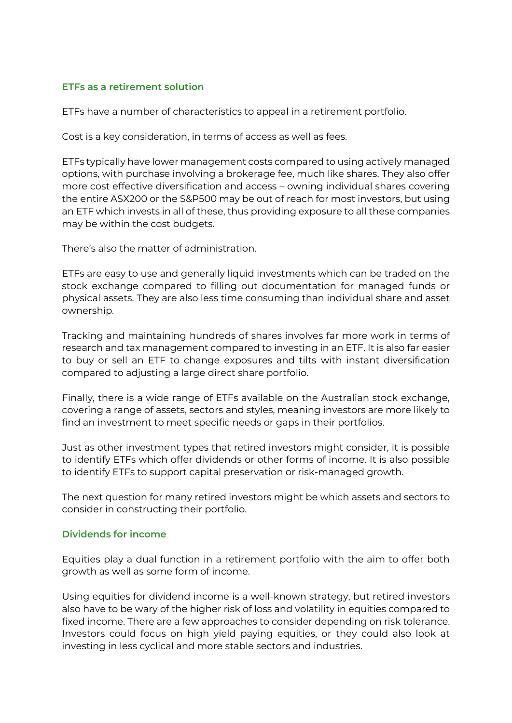#### **ETFs as a retirement solution**

ETFs have a number of characteristics to appeal in a retirement portfolio.

Cost is a key consideration, in terms of access as well as fees.

ETFs typically have lower management costs compared to using actively managed options, with purchase involving a brokerage fee, much like shares. They also offer more cost effective diversification and access – owning individual shares covering the entire ASX200 or the S&P500 may be out of reach for most investors, but using an ETF which invests in all of these, thus providing exposure to all these companies may be within the cost budgets.

There's also the matter of administration.

ETFs are easy to use and generally liquid investments which can be traded on the stock exchange compared to filling out documentation for managed funds or physical assets. They are also less time consuming than individual share and asset ownership.

Tracking and maintaining hundreds of shares involves far more work in terms of research and tax management compared to investing in an ETF. It is also far easier to buy or sell an ETF to change exposures and tilts with instant diversification compared to adjusting a large direct share portfolio.

Finally, there is a wide range of ETFs available on the Australian stock exchange, covering a range of assets, sectors and styles, meaning investors are more likely to find an investment to meet specific needs or gaps in their portfolios.

Just as other investment types that retired investors might consider, it is possible to identify ETFs which offer dividends or other forms of income. It is also possible to identify ETFs to support capital preservation or risk-managed growth.

The next question for many retired investors might be which assets and sectors to consider in constructing their portfolio.

#### **Dividends for income**

Equities play a dual function in a retirement portfolio with the aim to offer both growth as well as some form of income.

Using equities for dividend income is a well-known strategy, but retired investors also have to be wary of the higher risk of loss and volatility in equities compared to fixed income. There are a few approaches to consider depending on risk tolerance. Investors could focus on high yield paying equities, or they could also look at investing in less cyclical and more stable sectors and industries.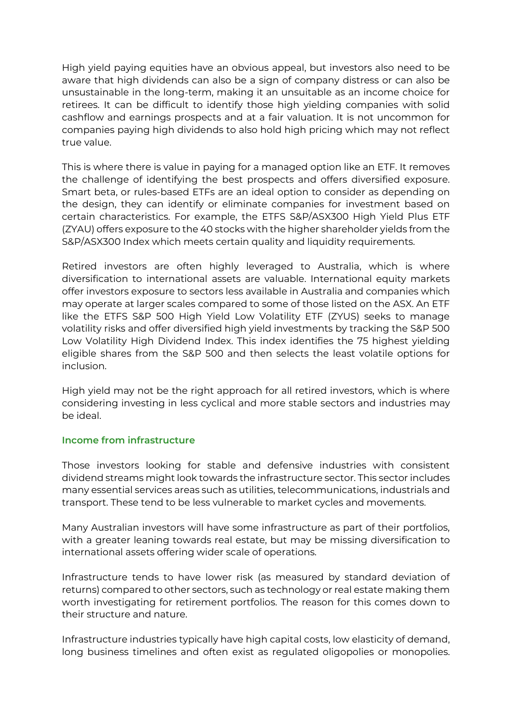High yield paying equities have an obvious appeal, but investors also need to be aware that high dividends can also be a sign of company distress or can also be unsustainable in the long-term, making it an unsuitable as an income choice for retirees. It can be difficult to identify those high yielding companies with solid cashflow and earnings prospects and at a fair valuation. It is not uncommon for companies paying high dividends to also hold high pricing which may not reflect true value.

This is where there is value in paying for a managed option like an ETF. It removes the challenge of identifying the best prospects and offers diversified exposure. Smart beta, or rules-based ETFs are an ideal option to consider as depending on the design, they can identify or eliminate companies for investment based on certain characteristics. For example, the ETFS S&P/ASX300 High Yield Plus ETF (ZYAU) offers exposure to the 40 stocks with the higher shareholder yields from the S&P/ASX300 Index which meets certain quality and liquidity requirements.

Retired investors are often highly leveraged to Australia, which is where diversification to international assets are valuable. International equity markets offer investors exposure to sectors less available in Australia and companies which may operate at larger scales compared to some of those listed on the ASX. An ETF like the ETFS S&P 500 High Yield Low Volatility ETF (ZYUS) seeks to manage volatility risks and offer diversified high yield investments by tracking the S&P 500 Low Volatility High Dividend Index. This index identifies the 75 highest yielding eligible shares from the S&P 500 and then selects the least volatile options for inclusion.

High yield may not be the right approach for all retired investors, which is where considering investing in less cyclical and more stable sectors and industries may be ideal.

#### **Income from infrastructure**

Those investors looking for stable and defensive industries with consistent dividend streams might look towards the infrastructure sector. This sector includes many essential services areas such as utilities, telecommunications, industrials and transport. These tend to be less vulnerable to market cycles and movements.

Many Australian investors will have some infrastructure as part of their portfolios, with a greater leaning towards real estate, but may be missing diversification to international assets offering wider scale of operations.

Infrastructure tends to have lower risk (as measured by standard deviation of returns) compared to other sectors, such as technology or real estate making them worth investigating for retirement portfolios. The reason for this comes down to their structure and nature.

Infrastructure industries typically have high capital costs, low elasticity of demand, long business timelines and often exist as regulated oligopolies or monopolies.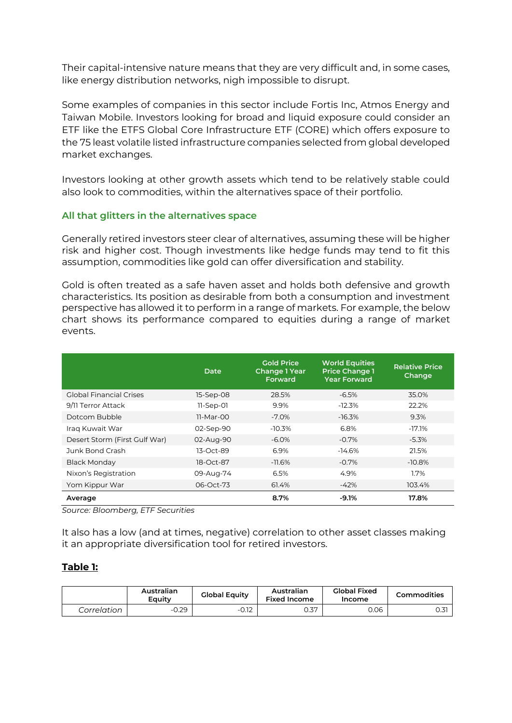Their capital-intensive nature means that they are very difficult and, in some cases, like energy distribution networks, nigh impossible to disrupt.

Some examples of companies in this sector include Fortis Inc, Atmos Energy and Taiwan Mobile. Investors looking for broad and liquid exposure could consider an ETF like the ETFS Global Core Infrastructure ETF (CORE) which offers exposure to the 75 least volatile listed infrastructure companies selected from global developed market exchanges.

Investors looking at other growth assets which tend to be relatively stable could also look to commodities, within the alternatives space of their portfolio.

#### **All that glitters in the alternatives space**

Generally retired investors steer clear of alternatives, assuming these will be higher risk and higher cost. Though investments like hedge funds may tend to fit this assumption, commodities like gold can offer diversification and stability.

Gold is often treated as a safe haven asset and holds both defensive and growth characteristics. Its position as desirable from both a consumption and investment perspective has allowed it to perform in a range of markets. For example, the below chart shows its performance compared to equities during a range of market events.

|                               | Date        | <b>Gold Price</b><br><b>Change 1 Year</b><br>Forward | <b>World Equities</b><br><b>Price Change 1</b><br>Year Forward | <b>Relative Price</b><br>Change |
|-------------------------------|-------------|------------------------------------------------------|----------------------------------------------------------------|---------------------------------|
| Global Financial Crises       | 15-Sep-08   | 28.5%                                                | $-6.5%$                                                        | 35.0%                           |
| 9/11 Terror Attack            | $11-Sep-01$ | 9.9%                                                 | $-12.3%$                                                       | 22.2%                           |
| Dotcom Bubble                 | 11-Mar-00   | $-7.0\%$                                             | $-16.3%$                                                       | 9.3%                            |
| Iraq Kuwait War               | 02-Sep-90   | $-10.3%$                                             | 6.8%                                                           | $-17.1%$                        |
| Desert Storm (First Gulf War) | 02-Aug-90   | $-6.0\%$                                             | $-0.7%$                                                        | $-5.3\%$                        |
| Junk Bond Crash               | 13-Oct-89   | 6.9%                                                 | $-14.6%$                                                       | 21.5%                           |
| <b>Black Monday</b>           | 18-Oct-87   | $-11.6\%$                                            | $-0.7%$                                                        | $-10.8\%$                       |
| Nixon's Registration          | 09-Aug-74   | 6.5%                                                 | 4.9%                                                           | 1.7%                            |
| Yom Kippur War                | 06-Oct-73   | 61.4%                                                | $-42%$                                                         | 103.4%                          |
| Average                       |             | 8.7%                                                 | -9.1%                                                          | 17.8%                           |

*Source: Bloomberg, ETF Securities*

It also has a low (and at times, negative) correlation to other asset classes making it an appropriate diversification tool for retired investors.

#### **Table 1:**

|             | Australian<br>Eauitv | <b>Global Equity</b> | Australian<br><b>Fixed Income</b> | <b>Global Fixed</b><br>Income | Commodities |
|-------------|----------------------|----------------------|-----------------------------------|-------------------------------|-------------|
| Correlation | $-0.29$              | $-0.12$              | 0.37                              | 0.06                          | 0.31        |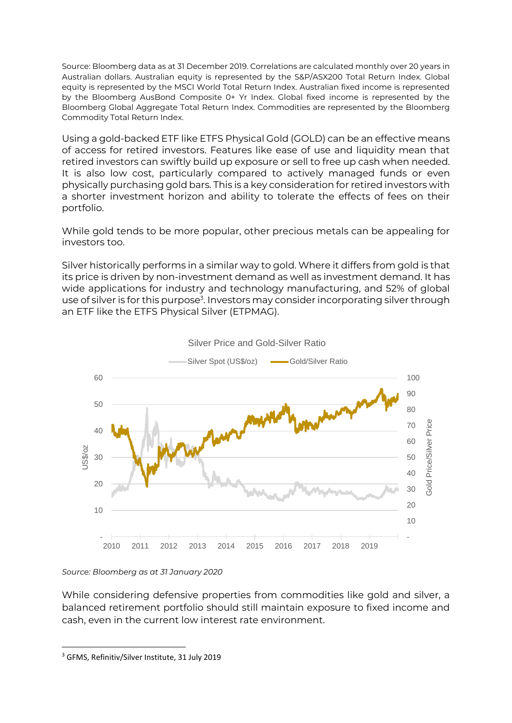Source: Bloomberg data as at 31 December 2019. Correlations are calculated monthly over 20 years in Australian dollars. Australian equity is represented by the S&P/ASX200 Total Return Index. Global equity is represented by the MSCI World Total Return Index. Australian fixed income is represented by the Bloomberg AusBond Composite 0+ Yr Index. Global fixed income is represented by the Bloomberg Global Aggregate Total Return Index. Commodities are represented by the Bloomberg Commodity Total Return Index.

Using a gold-backed ETF like ETFS Physical Gold (GOLD) can be an effective means of access for retired investors. Features like ease of use and liquidity mean that retired investors can swiftly build up exposure or sell to free up cash when needed. It is also low cost, particularly compared to actively managed funds or even physically purchasing gold bars. This is a key consideration for retired investors with a shorter investment horizon and ability to tolerate the effects of fees on their portfolio.

While gold tends to be more popular, other precious metals can be appealing for investors too.

Silver historically performs in a similar way to gold. Where it differs from gold is that its price is driven by non-investment demand as well as investment demand. It has wide applications for industry and technology manufacturing, and 52% of global use of silver is for this purpose<sup>3</sup>. Investors may consider incorporating silver through an ETF like the ETFS Physical Silver (ETPMAG).



Silver Price and Gold-Silver Ratio

While considering defensive properties from commodities like gold and silver, a balanced retirement portfolio should still maintain exposure to fixed income and cash, even in the current low interest rate environment.

*Source: Bloomberg as at 31 January 2020*

<sup>3</sup> GFMS, Refinitiv/Silver Institute, 31 July 2019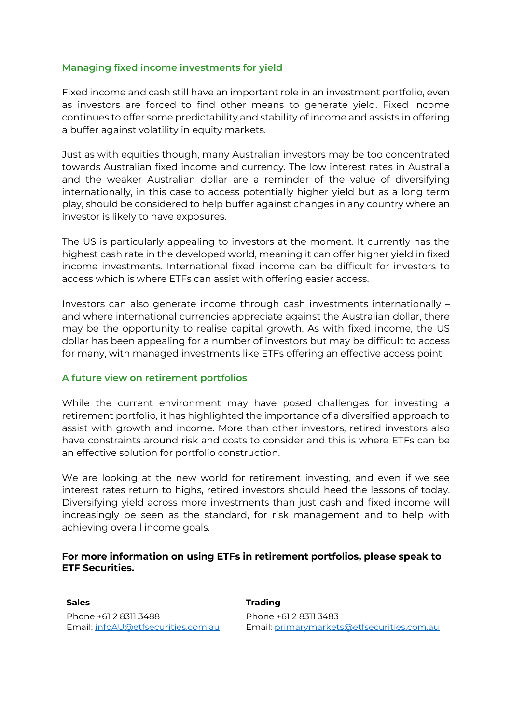#### **Managing fixed income investments for yield**

Fixed income and cash still have an important role in an investment portfolio, even as investors are forced to find other means to generate yield. Fixed income continues to offer some predictability and stability of income and assists in offering a buffer against volatility in equity markets.

Just as with equities though, many Australian investors may be too concentrated towards Australian fixed income and currency. The low interest rates in Australia and the weaker Australian dollar are a reminder of the value of diversifying internationally, in this case to access potentially higher yield but as a long term play, should be considered to help buffer against changes in any country where an investor is likely to have exposures.

The US is particularly appealing to investors at the moment. It currently has the highest cash rate in the developed world, meaning it can offer higher yield in fixed income investments. International fixed income can be difficult for investors to access which is where ETFs can assist with offering easier access.

Investors can also generate income through cash investments internationally – and where international currencies appreciate against the Australian dollar, there may be the opportunity to realise capital growth. As with fixed income, the US dollar has been appealing for a number of investors but may be difficult to access for many, with managed investments like ETFs offering an effective access point.

#### **A future view on retirement portfolios**

While the current environment may have posed challenges for investing a retirement portfolio, it has highlighted the importance of a diversified approach to assist with growth and income. More than other investors, retired investors also have constraints around risk and costs to consider and this is where ETFs can be an effective solution for portfolio construction.

We are looking at the new world for retirement investing, and even if we see interest rates return to highs, retired investors should heed the lessons of today. Diversifying yield across more investments than just cash and fixed income will increasingly be seen as the standard, for risk management and to help with achieving overall income goals.

#### **For more information on using ETFs in retirement portfolios, please speak to ETF Securities.**

**Sales Trading** Phone +61 2 8311 3488 Email: [infoAU@etfsecurities.com.au](mailto:infoAU@etfsecurities.com.au)

Phone +61 2 8311 3483 Email: [primarymarkets@etfsecurities.com.au](mailto:primarymarkets@etfsecurities.com.au)